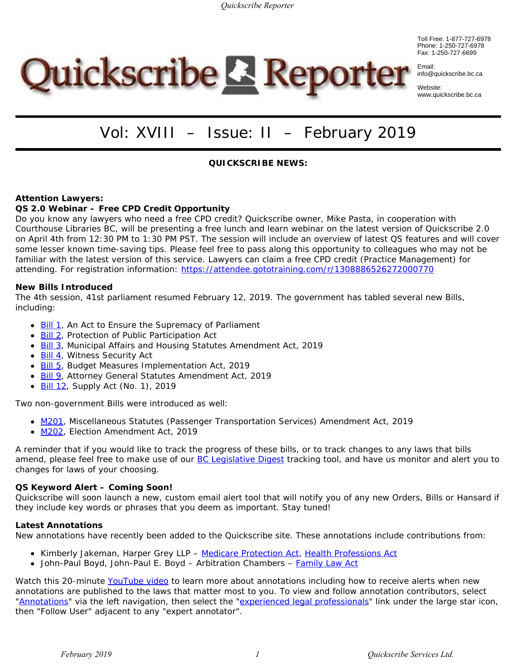Toll Free: 1-877-727-6978 Phone: 1-250-727-6978 Fax: 1-250-727-6699



Website: www.quickscribe.bc.ca

# Quickscribe & Reporter

# Vol: XVIII – Issue: II – February 2019

# **QUICKSCRIBE NEWS:**

## **Attention Lawyers:**

## **QS 2.0 Webinar – Free CPD Credit Opportunity**

Do you know any lawyers who need a free CPD credit? Quickscribe owner, Mike Pasta, in cooperation with Courthouse Libraries BC, will be presenting a free lunch and learn webinar on the latest version of Quickscribe 2.0 on April 4th from 12:30 PM to 1:30 PM PST. The session will include an overview of latest QS features and will cover some lesser known time-saving tips. Please feel free to pass along this opportunity to colleagues who may not be familiar with the latest version of this service. Lawyers can claim a free CPD credit (Practice Management) for attending. For registration information:<https://attendee.gototraining.com/r/1308886526272000770>

#### **New Bills Introduced**

The 4th session, 41st parliament resumed February 12, 2019. The government has tabled several new Bills, including:

- [Bill](https://www.quickscribe.bc.ca/secure/repository_redirect.php?document=4108c776261d35f0bec656cea574268a&anchor=) [1](https://www.quickscribe.bc.ca/secure/repository_redirect.php?document=4108c776261d35f0bec656cea574268a&anchor=), An Act to Ensure the Supremacy of Parliament
- **[Bill](https://www.quickscribe.bc.ca/secure/repository_redirect.php?document=c52d7220d57704dff8c8cda0165aee51&anchor=) [2](https://www.quickscribe.bc.ca/secure/repository_redirect.php?document=c52d7220d57704dff8c8cda0165aee51&anchor=)**, Protection of Public Participation Act
- [Bill](https://www.quickscribe.bc.ca/secure/repository_redirect.php?document=8655503bb0ba344a6d671853bb69d25a&anchor=) [3](https://www.quickscribe.bc.ca/secure/repository_redirect.php?document=8655503bb0ba344a6d671853bb69d25a&anchor=), Municipal Affairs and Housing Statutes Amendment Act, 2019
- [Bill 4](https://www.quickscribe.bc.ca/secure/repository_redirect.php?document=88ee53e4e29719edc00a80c3cdc386bd&anchor=), Witness Security Act
- [Bill 5](https://www.quickscribe.bc.ca/secure/repository_redirect.php?document=eae5410f4b7a85dd3f2b20499128ccad&anchor=), Budget Measures Implementation Act, 2019
- **[Bill 9](https://www.quickscribe.bc.ca/secure/repository_redirect.php?document=58e9631634cb43f3e954ddaeaedb1dec&anchor=)**, Attorney General Statutes Amendment Act, 2019
- **[Bill 12](https://www.quickscribe.bc.ca/secure/repository_redirect.php?document=9f173f0b966ce04852917a024e5b0f6a&anchor=), Supply Act (No. 1), 2019**

Two non-government Bills were introduced as well:

- [M201](https://www.quickscribe.bc.ca/secure/repository_redirect.php?document=294770a84f0587ed66d6ab46a21a6ce9&anchor=), Miscellaneous Statutes (Passenger Transportation Services) Amendment Act, 2019
- [M202](https://www.quickscribe.bc.ca/secure/repository_redirect.php?document=d253a0a34cd8a8e42e6297a8def9b277&anchor=), Election Amendment Act, 2019

A reminder that if you would like to track the progress of these bills, or to track changes to any laws that bills amend, please feel free to make use of our **[BC](http://www.quickscribe.bc.ca/secure/index.html?page=alert) [Legislative Digest](http://www.quickscribe.bc.ca/secure/index.html?page=alert)** tracking tool, and have us monitor and alert you to changes for laws of your choosing.

#### **QS Keyword Alert –** *Coming Soon!*

Quickscribe will soon launch a new, custom email alert tool that will notify you of any new Orders, Bills or Hansard if they include key words or phrases that you deem as important. Stay tuned!

#### **Latest Annotations**

New annotations have recently been added to the Quickscribe site. These annotations include contributions from:

- **Kimberly Jakeman, Harper Grey LLP** *[Medicare Protection Act](https://www.quickscribe.bc.ca/secure/index.php?page=document&doc_id=686)*, *[Health Professions Act](https://www.quickscribe.bc.ca/secure/index.php?page=document&doc_id=845)*
- John-Paul Boyd, John-Paul E. Boyd Arbitration Chambers *[Family Law Act](https://www.quickscribe.bc.ca/secure/index.php?page=document&doc_id=4032)*

Watch this 20-minute [YouTube](https://www.youtube.com/watch?v=tOeF2qSDzAA) [video](https://www.youtube.com/watch?v=tOeF2qSDzAA) to learn more about annotations including how to receive alerts when new annotations are published to the laws that matter most to you. To view and follow annotation contributors, select ["Annotations](https://www.quickscribe.bc.ca/secure/index.php?page=annotations)" via the left navigation, then select the "[experienced legal professionals](https://www.quickscribe.bc.ca/secure/MeetTheExperts.php)" link under the large star icon, then "Follow User" adjacent to any "expert annotator".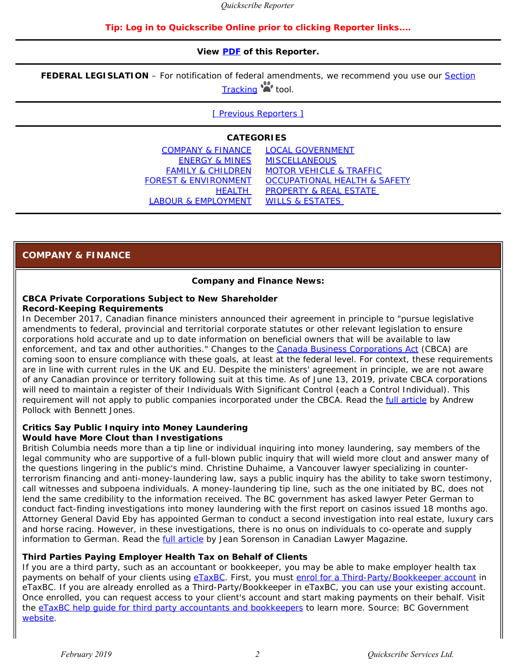#### **Tip: Log in to Quickscribe Online prior to clicking Reporter links....**

#### **View [PDF](https://www.quickscribe.bc.ca/secure/bills/Reporter-QS-2019/Reporter_February_2019.pdf) of this Reporter.**

**FEDERAL LEGISLATION** – For notification of federal amendments, we recommend you use our [Section](https://www.quickscribe.bc.ca/alerts/)

[Tracking](https://www.quickscribe.bc.ca/alerts/) **tool**.

[\[ Previous Reporters \]](https://www.quickscribe.bc.ca/secure/bills/Reporter-archives.html)

#### **CATEGORIES**

| <b>COMPANY &amp; FINANCE</b>    | <b>LOCAL GOVERNMENT</b>                 |
|---------------------------------|-----------------------------------------|
| <b>ENERGY &amp; MINES</b>       | <b>MISCELLANEOUS</b>                    |
| <b>FAMILY &amp; CHILDREN</b>    | <b>MOTOR VEHICLE &amp; TRAFFIC</b>      |
| <b>FOREST &amp; ENVIRONMENT</b> | <b>OCCUPATIONAL HEALTH &amp; SAFETY</b> |
| <b>HEALTH</b>                   | <b>PROPERTY &amp; REAL ESTATE</b>       |
| LABOUR & EMPLOYMENT             | <b>WILLS &amp; ESTATES</b>              |
|                                 |                                         |

# <span id="page-1-0"></span>**COMPANY & FINANCE**

#### **Company and Finance News:**

# **CBCA Private Corporations Subject to New Shareholder**

#### **Record-Keeping Requirements**

In December 2017, Canadian finance ministers announced their agreement in principle to "pursue legislative amendments to federal, provincial and territorial corporate statutes or other relevant legislation to ensure corporations hold accurate and up to date information on beneficial owners that will be available to law enforcement, and tax and other authorities." Changes to the *[Canada Business Corporations Act](https://www.quickscribe.bc.ca/secure/index.php?page=document&doc_id=3442)* (CBCA) are coming soon to ensure compliance with these goals, at least at the federal level. For context, these requirements are in line with current rules in the UK and EU. Despite the ministers' agreement in principle, we are not aware of any Canadian province or territory following suit at this time. As of June 13, 2019, private CBCA corporations will need to maintain a register of their Individuals With Significant Control (each a Control Individual). This requirement will not apply to public companies incorporated under the CBCA. Read the [full article](https://www.bennettjones.com/en/Blogs-Section/CBCA-Private-Corporations-Subject-to-New-Shareholder-Record-Keeping-Requirements%20) by Andrew Pollock with Bennett Jones.

#### **Critics Say Public Inquiry into Money Laundering Would have More Clout than Investigations**

British Columbia needs more than a tip line or individual inquiring into money laundering, say members of the legal community who are supportive of a full-blown public inquiry that will wield more clout and answer many of the questions lingering in the public's mind. Christine Duhaime, a Vancouver lawyer specializing in counterterrorism financing and anti-money-laundering law, says a public inquiry has the ability to take sworn testimony, call witnesses and subpoena individuals. A money-laundering tip line, such as the one initiated by BC, does not lend the same credibility to the information received. The BC government has asked lawyer Peter German to conduct fact-finding investigations into money laundering with the first report on casinos issued 18 months ago. Attorney General David Eby has appointed German to conduct a second investigation into real estate, luxury cars and horse racing. However, in these investigations, there is no onus on individuals to co-operate and supply information to German. Read the [full article](https://www.canadianlawyermag.com/legalfeeds/money-laundering-public-inquiry-has-more-clout-than-investigations-16909/) by Jean Sorenson in *Canadian Lawyer Magazine.*

#### **Third Parties Paying Employer Health Tax on Behalf of Clients**

If you are a third party, such as an accountant or bookkeeper, you may be able to make employer health tax payments on behalf of your clients using [eTaxBC](https://www.etax.gov.bc.ca/btp/eservices/_/). First, you must [enrol for a Third-Party/Bookkeeper account](https://www.etax.gov.bc.ca/btp/eservices/_/) in eTaxBC. If you are already enrolled as a Third-Party/Bookkeeper in eTaxBC, you can use your existing account. Once enrolled, you can request access to your client's account and start making payments on their behalf. Visit the [eTaxBC help guide for third party accountants and bookkeepers](https://www2.gov.bc.ca/gov/content/taxes/etaxbc/help-guide/third-party) to learn more. Source: BC Government [website.](https://www2.gov.bc.ca/gov/content/taxes/employer-health-tax/employer-health-tax-overview/eht-file-pay/third-parties)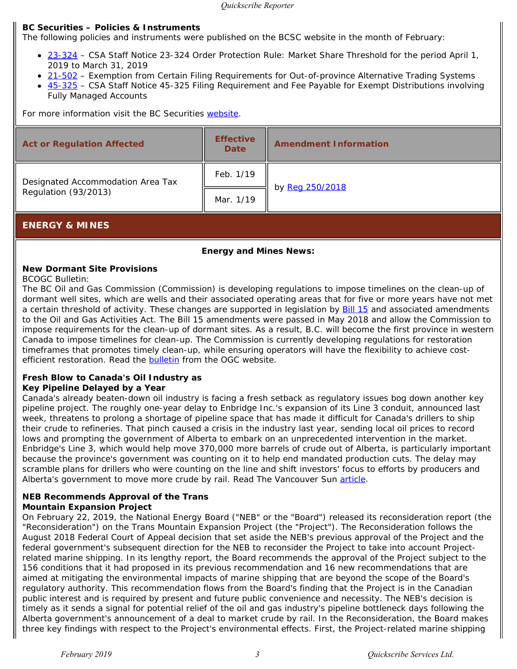#### **BC Securities – Policies & Instruments**

The following policies and instruments were published on the BCSC website in the month of February:

- [23-324](https://www.bcsc.bc.ca/23-324_[CSA_Staff_Notice]_01312019/)  CSA Staff Notice 23-324 *Order Protection Rule: Market Share Threshold* for the period April 1, 2019 to March 31, 2019
- [21-502](https://www.bcsc.bc.ca/21-502_[BCI]_02192019/)  Exemption from Certain Filing Requirements for Out-of-province Alternative Trading Systems
- [45-325](https://www.bcsc.bc.ca/45-325_[CSA_Staff_Notice]_02082019/)  CSA Staff Notice 45-325 *Filing Requirement and Fee Payable for Exempt Distributions involving Fully Managed Accounts*

For more information visit the BC Securities [website](http://www.bcsc.bc.ca/default.asp).

| <b>Act or Regulation Affected</b> | <b>Effective</b><br><b>Date</b> | <b>Amendment Information</b> |
|-----------------------------------|---------------------------------|------------------------------|
| Designated Accommodation Area Tax | Feb. 1/19                       |                              |
| Regulation (93/2013)              | Mar. 1/19                       | by Reg 250/2018              |
|                                   |                                 |                              |

# <span id="page-2-0"></span>**ENERGY & MINES**

## **Energy and Mines News:**

#### **New Dormant Site Provisions**

*BCOGC Bulletin:*

The BC Oil and Gas Commission (Commission) is developing regulations to impose timelines on the clean-up of dormant well sites, which are wells and their associated operating areas that for five or more years have not met a certain threshold of activity. These changes are supported in legislation by [Bill 15](https://www.quickscribe.bc.ca/secure/repository_redirect.php?document=047d263deda4f7ae1b54d87983674505&anchor=) and associated amendments to the Oil and Gas Activities Act. The Bill 15 amendments were passed in May 2018 and allow the Commission to impose requirements for the clean-up of dormant sites. As a result, B.C. will become the first province in western Canada to impose timelines for clean-up. The Commission is currently developing regulations for restoration timeframes that promotes timely clean-up, while ensuring operators will have the flexibility to achieve costefficient restoration. Read the **bulletin** from the OGC website.

#### **Fresh Blow to Canada's Oil Industry as Key Pipeline Delayed by a Year**

Canada's already beaten-down oil industry is facing a fresh setback as regulatory issues bog down another key pipeline project. The roughly one-year delay to Enbridge Inc.'s expansion of its Line 3 conduit, announced last week, threatens to prolong a shortage of pipeline space that has made it difficult for Canada's drillers to ship their crude to refineries. That pinch caused a crisis in the industry last year, sending local oil prices to record lows and prompting the government of Alberta to embark on an unprecedented intervention in the market. Enbridge's Line 3, which would help move 370,000 more barrels of crude out of Alberta, is particularly important because the province's government was counting on it to help end mandated production cuts. The delay may scramble plans for drillers who were counting on the line and shift investors' focus to efforts by producers and Alberta's government to move more crude by rail. Read *The Vancouver Sun* [article](https://vancouversun.com/commodities/energy/enbridge-pipeline-delayed-a-year-in-hit-to-canadian-oil-industry/wcm/b377865a-35cb-4cb9-b657-20bb1683a5e4%20).

## **NEB Recommends Approval of the Trans Mountain Expansion Project**

On February 22, 2019, the National Energy Board ("NEB" or the "Board") released its reconsideration report (the "Reconsideration") on the Trans Mountain Expansion Project (the "Project"). The Reconsideration follows the August 2018 Federal Court of Appeal decision that set aside the NEB's previous approval of the Project and the federal government's subsequent direction for the NEB to reconsider the Project to take into account Projectrelated marine shipping. In its lengthy report, the Board recommends the approval of the Project subject to the 156 conditions that it had proposed in its previous recommendation and 16 new recommendations that are aimed at mitigating the environmental impacts of marine shipping that are beyond the scope of the Board's regulatory authority. This recommendation flows from the Board's finding that the Project is in the Canadian public interest and is required by present and future public convenience and necessity. The NEB's decision is timely as it sends a signal for potential relief of the oil and gas industry's pipeline bottleneck days following the Alberta government's announcement of a deal to market crude by rail. In the Reconsideration, the Board makes three key findings with respect to the Project's environmental effects. First, the Project-related marine shipping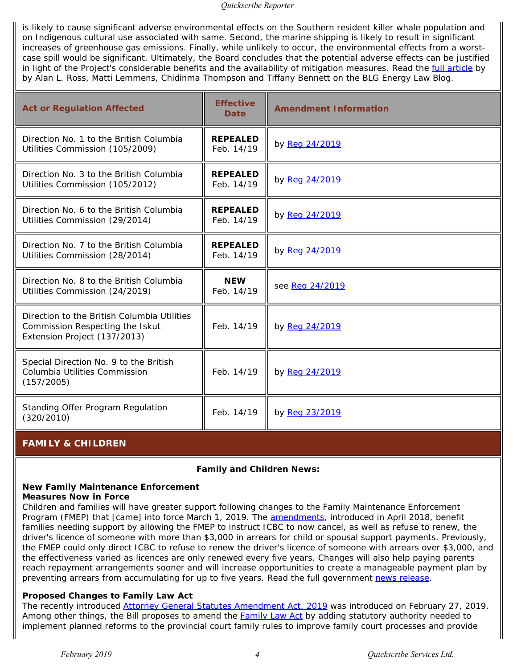is likely to cause significant adverse environmental effects on the Southern resident killer whale population and on Indigenous cultural use associated with same. Second, the marine shipping is likely to result in significant increases of greenhouse gas emissions. Finally, while unlikely to occur, the environmental effects from a worstcase spill would be significant. Ultimately, the Board concludes that the potential adverse effects can be justified in light of the Project's considerable benefits and the availability of mitigation measures. Read the *full article* by by Alan L. Ross, Matti Lemmens, Chidinma Thompson and Tiffany Bennett on the BLG Energy Law Blog.

| <b>Act or Regulation Affected</b>                                                                              | <b>Effective</b><br><b>Date</b> | <b>Amendment Information</b> |
|----------------------------------------------------------------------------------------------------------------|---------------------------------|------------------------------|
| Direction No. 1 to the British Columbia<br>Utilities Commission (105/2009)                                     | <b>REPEALED</b><br>Feb. 14/19   | by Reg 24/2019               |
| Direction No. 3 to the British Columbia<br>Utilities Commission (105/2012)                                     | <b>REPEALED</b><br>Feb. 14/19   | by Reg 24/2019               |
| Direction No. 6 to the British Columbia<br>Utilities Commission (29/2014)                                      | <b>REPEALED</b><br>Feb. 14/19   | by Reg 24/2019               |
| Direction No. 7 to the British Columbia<br>Utilities Commission (28/2014)                                      | <b>REPEALED</b><br>Feb. 14/19   | by Reg 24/2019               |
| Direction No. 8 to the British Columbia<br>Utilities Commission (24/2019)                                      | <b>NEW</b><br>Feb. 14/19        | see Reg 24/2019              |
| Direction to the British Columbia Utilities<br>Commission Respecting the Iskut<br>Extension Project (137/2013) | Feb. 14/19                      | by Reg 24/2019               |
| Special Direction No. 9 to the British<br>Columbia Utilities Commission<br>(157/2005)                          | Feb. 14/19                      | by Reg 24/2019               |
| Standing Offer Program Regulation<br>(320/2010)                                                                | Feb. 14/19                      | by Reg 23/2019               |

# <span id="page-3-0"></span>**FAMILY & CHILDREN**

## **Family and Children News:**

# **New Family Maintenance Enforcement**

## **Measures Now in Force**

Children and families will have greater support following changes to the Family Maintenance Enforcement Program (FMEP) that [came] into force March 1, 2019. The [amendments](https://www.quickscribe.bc.ca/secure/repository_redirect.php?document=55a44a53fd102e5c53baa347e56b0098&anchor=s1), introduced in April 2018, benefit families needing support by allowing the FMEP to instruct ICBC to now cancel, as well as refuse to renew, the driver's licence of someone with more than \$3,000 in arrears for child or spousal support payments. Previously, the FMEP could only direct ICBC to refuse to renew the driver's licence of someone with arrears over \$3,000, and the effectiveness varied as licences are only renewed every five years. Changes will also help paying parents reach repayment arrangements sooner and will increase opportunities to create a manageable payment plan by preventing arrears from accumulating for up to five years. Read the full government [news release](https://news.gov.bc.ca/releases/2019AG0017-000302%20).

## **Proposed Changes to** *Family Law Act*

The recently introduced *[Attorney General Statutes Amendment Act, 2019](https://www.quickscribe.bc.ca/secure/repository_redirect.php?document=58e9631634cb43f3e954ddaeaedb1dec&anchor=)* was introduced on February 27, 2019. Among other things, the Bill proposes to amend the *[Family Law Act](https://www.quickscribe.bc.ca/secure/index.php?page=document&doc_id=4032)* by adding statutory authority needed to implement planned reforms to the provincial court family rules to improve family court processes and provide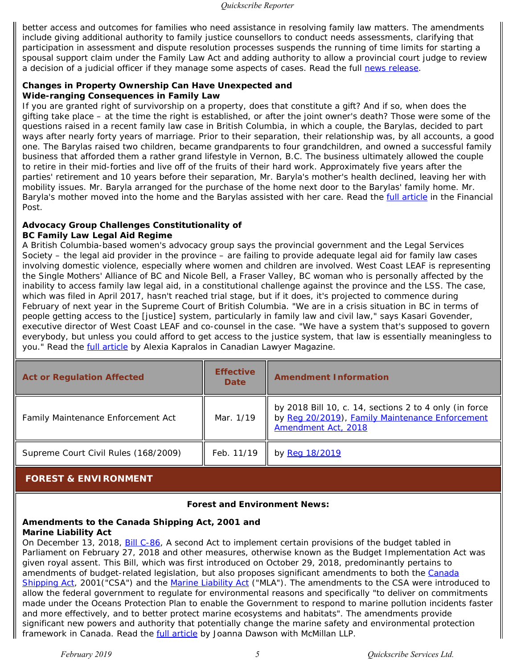better access and outcomes for families who need assistance in resolving family law matters. The amendments include giving additional authority to family justice counsellors to conduct needs assessments, clarifying that participation in assessment and dispute resolution processes suspends the running of time limits for starting a spousal support claim under the *Family Law Act* and adding authority to allow a provincial court judge to review a decision of a judicial officer if they manage some aspects of cases. Read the full [news release](https://news.gov.bc.ca/releases/2019AG0015-000284%20).

## **Changes in Property Ownership Can Have Unexpected and Wide-ranging Consequences in Family Law**

If you are granted right of survivorship on a property, does that constitute a gift? And if so, when does the gifting take place – at the time the right is established, or after the joint owner's death? Those were some of the questions raised in a recent family law case in British Columbia, in which a couple, the Barylas, decided to part ways after nearly forty years of marriage. Prior to their separation, their relationship was, by all accounts, a good one. The Barylas raised two children, became grandparents to four grandchildren, and owned a successful family business that afforded them a rather grand lifestyle in Vernon, B.C. The business ultimately allowed the couple to retire in their mid-forties and live off of the fruits of their hard work. Approximately five years after the parties' retirement and 10 years before their separation, Mr. Baryla's mother's health declined, leaving her with mobility issues. Mr. Baryla arranged for the purchase of the home next door to the Barylas' family home. Mr. Baryla's mother moved into the home and the Barylas assisted with her care. Read the [full article](https://business.financialpost.com/personal-finance/changes-in-property-ownership-can-have-unexpected-and-wide-ranging-consequences-in-family-law%20) in the *Financial Post.*

# **Advocacy Group Challenges Constitutionality of**

# **BC Family Law Legal Aid Regime**

A British Columbia-based women's advocacy group says the provincial government and the Legal Services Society – the legal aid provider in the province – are failing to provide adequate legal aid for family law cases involving domestic violence, especially where women and children are involved. West Coast LEAF is representing the Single Mothers' Alliance of BC and Nicole Bell, a Fraser Valley, BC woman who is personally affected by the inability to access family law legal aid, in a constitutional challenge against the province and the LSS. The case, which was filed in April 2017, hasn't reached trial stage, but if it does, it's projected to commence during February of next year in the Supreme Court of British Columbia. "We are in a crisis situation in BC in terms of people getting access to the [justice] system, particularly in family law and civil law," says Kasari Govender, executive director of West Coast LEAF and co-counsel in the case. "We have a system that's supposed to govern everybody, but unless you could afford to get access to the justice system, that law is essentially meaningless to you." Read the [full article](https://www.canadianlawyermag.com/legalfeeds/author/alexia-kapralos/advocacy-group-challenges-constitutionality-of-bc-family-law-legal-aid-regime-16938/) by Alexia Kapralos in *Canadian Lawyer Magazine*.

| <b>Act or Regulation Affected</b>    | <b>Effective</b><br><b>Date</b> | <b>Amendment Information</b>                                                                                                     |
|--------------------------------------|---------------------------------|----------------------------------------------------------------------------------------------------------------------------------|
| Family Maintenance Enforcement Act   | Mar. 1/19                       | by 2018 Bill 10, c. 14, sections 2 to 4 only (in force<br>by Reg 20/2019), Family Maintenance Enforcement<br>Amendment Act, 2018 |
| Supreme Court Civil Rules (168/2009) | Feb. 11/19                      | by Reg 18/2019                                                                                                                   |

# <span id="page-4-0"></span> **FOREST & ENVIRONMENT**

## **Forest and Environment News:**

#### **Amendments to the** *Canada Shipping Act, 2001* **and**  *Marine Liability Act*

On December 13, 2018, [Bill C-86](http://www.parl.ca/DocumentViewer/en/42-1/bill/C-86/royal-assent), *A second Act to implement certain provisions of the budget tabled in Parliament on February 27, 2018 and other measures*, otherwise known as the *Budget Implementation Act* was given royal assent. This Bill, which was first introduced on October 29, 2018, predominantly pertains to amendments of budget-related legislation, but also proposes significant amendments to both the *[Canada](https://www.quickscribe.bc.ca/secure/index.php?page=document&doc_id=3296) [Shipping Act](https://www.quickscribe.bc.ca/secure/index.php?page=document&doc_id=3296)*, 2001("CSA") and the *[Marine Liability Act](https://laws.justice.gc.ca/eng/acts/M-0.7/index.html)* ("MLA"). The amendments to the CSA were introduced to allow the federal government to regulate for environmental reasons and specifically "to deliver on commitments made under the Oceans Protection Plan to enable the Government to respond to marine pollution incidents faster and more effectively, and to better protect marine ecosystems and habitats". The amendments provide significant new powers and authority that potentially change the marine safety and environmental protection framework in Canada. Read the **[full article](https://mcmillan.ca/Amendments-to-the-Canada-Shipping-Act-2001-and-Marine-Liability-Act)** by Joanna Dawson with McMillan LLP.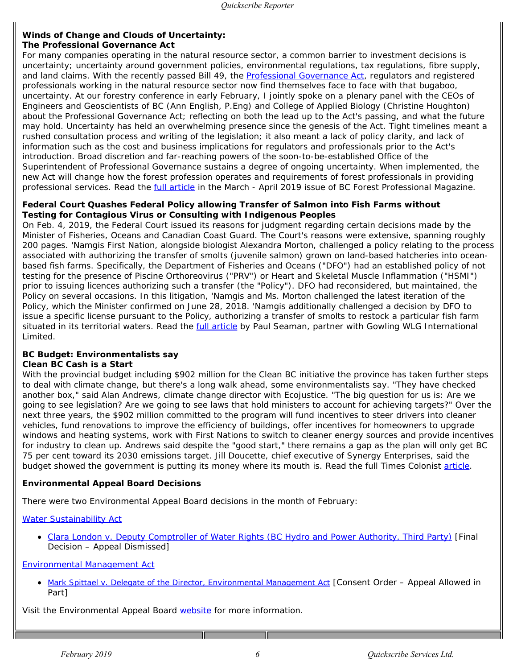## **Winds of Change and Clouds of Uncertainty: The** *Professional Governance Act*

For many companies operating in the natural resource sector, a common barrier to investment decisions is uncertainty; uncertainty around government policies, environmental regulations, tax regulations, fibre supply, and land claims. With the recently passed Bill 49, the *[Professional Governance Act](https://www.quickscribe.bc.ca/secure/repository_redirect.php?document=7404409d94edf55bb94b81d35d58ee34&anchor=)*, regulators and registered professionals working in the natural resource sector now find themselves face to face with that bugaboo, uncertainty. At our forestry conference in early February, I jointly spoke on a plenary panel with the CEOs of Engineers and Geoscientists of BC (Ann English, P.Eng) and College of Applied Biology (Christine Houghton) about the *Professional Governance Act*; reflecting on both the lead up to the Act's passing, and what the future may hold. Uncertainty has held an overwhelming presence since the genesis of the Act. Tight timelines meant a rushed consultation process and writing of the legislation; it also meant a lack of policy clarity, and lack of information such as the cost and business implications for regulators and professionals prior to the Act's introduction. Broad discretion and far-reaching powers of the soon-to-be-established Office of the Superintendent of Professional Governance sustains a degree of ongoing uncertainty. When implemented, the new Act will change how the forest profession operates and requirements of forest professionals in providing professional services. Read the [full article](https://abcfp.ca/WEB/ABCFP/Members/Publications/BCFP_Magazine/ABCFP/Publications/BCFP_Magazine.aspx?hkey=6e8826c0-d6be-4116-bc42-c84c5aa01fb5) in the March - April 2019 issue of *BC Forest Professional Magazine*.

## **Federal Court Quashes Federal Policy allowing Transfer of Salmon into Fish Farms without Testing for Contagious Virus or Consulting with Indigenous Peoples**

On Feb. 4, 2019, the Federal Court issued its reasons for judgment regarding certain decisions made by the Minister of Fisheries, Oceans and Canadian Coast Guard. The Court's reasons were extensive, spanning roughly 200 pages. 'Namgis First Nation, alongside biologist Alexandra Morton, challenged a policy relating to the process associated with authorizing the transfer of smolts (juvenile salmon) grown on land-based hatcheries into oceanbased fish farms. Specifically, the Department of Fisheries and Oceans ("DFO") had an established policy of not testing for the presence of Piscine Orthoreovirus ("PRV") or Heart and Skeletal Muscle Inflammation ("HSMI") prior to issuing licences authorizing such a transfer (the "Policy"). DFO had reconsidered, but maintained, the Policy on several occasions. In this litigation, 'Namgis and Ms. Morton challenged the latest iteration of the Policy, which the Minister confirmed on June 28, 2018. 'Namgis additionally challenged a decision by DFO to issue a specific license pursuant to the Policy, authorizing a transfer of smolts to restock a particular fish farm situated in its territorial waters. Read the *full article* by Paul Seaman, partner with Gowling WLG International Limited.

# **BC Budget: Environmentalists say**

# **Clean BC Cash is a Start**

With the provincial budget including \$902 million for the Clean BC initiative the province has taken further steps to deal with climate change, but there's a long walk ahead, some environmentalists say. "They have checked another box," said Alan Andrews, climate change director with Ecojustice. "The big question for us is: Are we going to see legislation? Are we going to see laws that hold ministers to account for achieving targets?" Over the next three years, the \$902 million committed to the program will fund incentives to steer drivers into cleaner vehicles, fund renovations to improve the efficiency of buildings, offer incentives for homeowners to upgrade windows and heating systems, work with First Nations to switch to cleaner energy sources and provide incentives for industry to clean up. Andrews said despite the "good start," there remains a gap as the plan will only get BC 75 per cent toward its 2030 emissions target. Jill Doucette, chief executive of Synergy Enterprises, said the budget showed the government is putting its money where its mouth is. Read the full *Times Colonist* [article](https://www.timescolonist.com/business/b-c-budget-environmentalists-say-clean-b-c-cash-is-a-start-1.23640440).

# **Environmental Appeal Board Decisions**

There were two Environmental Appeal Board decisions in the month of February:

# *[Water Sustainability Act](https://www.quickscribe.bc.ca/secure/index.php?page=document&doc_id=4249)*

*[Clara London v. Deputy Comptroller of Water Rights](http://www.eab.gov.bc.ca/water/2016wat002b.pdf) (BC Hydro and Power Authority, Third Party)* [Final Decision – Appeal Dismissed]

# *[Environmental Management Act](https://www.quickscribe.bc.ca/secure/index.php?page=document&doc_id=742)*

*[Mark Spittael v. Delegate of the Director,](http://www.eab.gov.bc.ca/ema/2018ema046a_consent_order.pdf) [Environmental Management Act](http://www.eab.gov.bc.ca/ema/2018ema046a_consent_order.pdf)* [Consent Order – Appeal Allowed in Part]

Visit the Environmental Appeal Board [website](http://www.eab.gov.bc.ca/decisions.htm) for more information.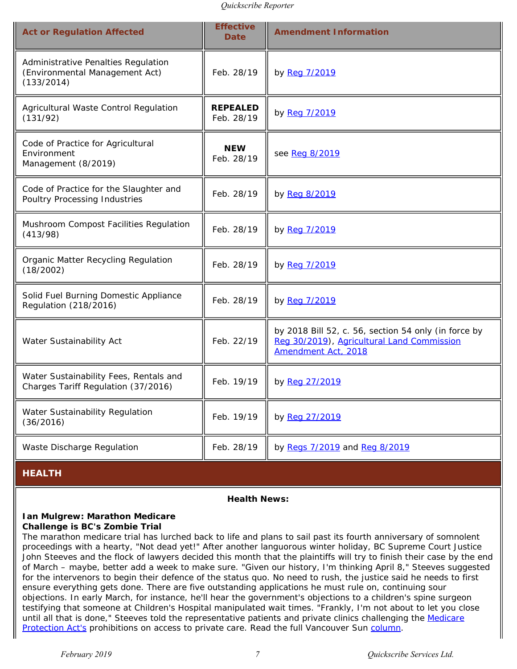| <b>Act or Regulation Affected</b>                                                   | <b>Effective</b><br><b>Date</b> | <b>Amendment Information</b>                                                                                              |
|-------------------------------------------------------------------------------------|---------------------------------|---------------------------------------------------------------------------------------------------------------------------|
| Administrative Penalties Regulation<br>(Environmental Management Act)<br>(133/2014) | Feb. 28/19                      | by Reg 7/2019                                                                                                             |
| Agricultural Waste Control Regulation<br>(131/92)                                   | <b>REPEALED</b><br>Feb. 28/19   | by Reg 7/2019                                                                                                             |
| Code of Practice for Agricultural<br>Environment<br>Management (8/2019)             | <b>NEW</b><br>Feb. 28/19        | see Reg 8/2019                                                                                                            |
| Code of Practice for the Slaughter and<br>Poultry Processing Industries             | Feb. 28/19                      | by Reg 8/2019                                                                                                             |
| Mushroom Compost Facilities Regulation<br>(413/98)                                  | Feb. 28/19                      | by Reg 7/2019                                                                                                             |
| Organic Matter Recycling Regulation<br>(18/2002)                                    | Feb. 28/19                      | by Reg 7/2019                                                                                                             |
| Solid Fuel Burning Domestic Appliance<br>Regulation (218/2016)                      | Feb. 28/19                      | by Reg 7/2019                                                                                                             |
| Water Sustainability Act                                                            | Feb. 22/19                      | by 2018 Bill 52, c. 56, section 54 only (in force by<br>Reg 30/2019), Agricultural Land Commission<br>Amendment Act, 2018 |
| Water Sustainability Fees, Rentals and<br>Charges Tariff Regulation (37/2016)       | Feb. 19/19                      | by Reg 27/2019                                                                                                            |
| Water Sustainability Regulation<br>(36/2016)                                        | Feb. 19/19                      | by Reg 27/2019                                                                                                            |
| Waste Discharge Regulation                                                          | Feb. 28/19                      | by Regs 7/2019 and Reg 8/2019                                                                                             |

# <span id="page-6-0"></span>**HEALTH**

#### **Health News:**

#### **Ian Mulgrew: Marathon Medicare Challenge is BC's Zombie Trial**

The marathon medicare trial has lurched back to life and plans to sail past its fourth anniversary of somnolent proceedings with a hearty, "Not dead yet!" After another languorous winter holiday, BC Supreme Court Justice John Steeves and the flock of lawyers decided this month that the plaintiffs will try to finish their case by the end of March – maybe, better add a week to make sure. "Given our history, I'm thinking April 8," Steeves suggested for the intervenors to begin their defence of the status quo. No need to rush, the justice said he needs to first ensure everything gets done. There are five outstanding applications he must rule on, continuing sour objections. In early March, for instance, he'll hear the government's objections to a children's spine surgeon testifying that someone at Children's Hospital manipulated wait times. "Frankly, I'm not about to let you close until all that is done," Steeves told the representative patients and private clinics challenging the *[Medicare](https://www.quickscribe.bc.ca/secure/index.php?page=document&doc_id=686) [Protection Act's](https://www.quickscribe.bc.ca/secure/index.php?page=document&doc_id=686)* prohibitions on access to private care. Read the full *Vancouver Sun* [column](https://vancouversun.com/opinion/columnists/ian-mulgrew-marathon-medicare-challenge-is-b-c-s-zombie-trial%20).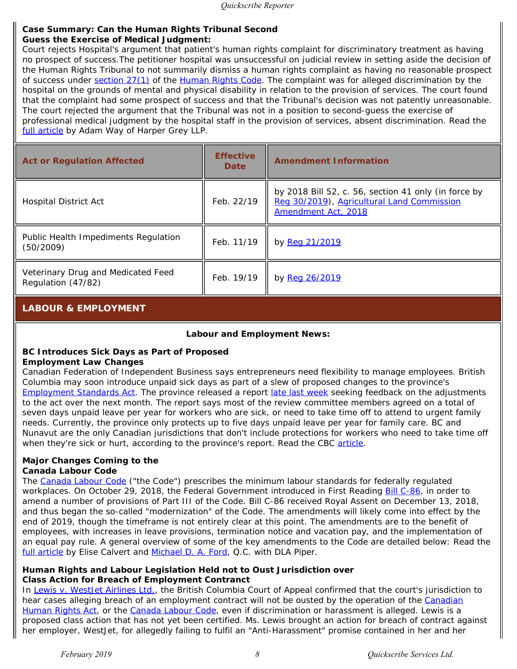#### **Case Summary: Can the Human Rights Tribunal Second Guess the Exercise of Medical Judgment:**

*Court rejects Hospital's argument that patient's human rights complaint for discriminatory treatment as having no prospect of success.*The petitioner hospital was unsuccessful on judicial review in setting aside the decision of the Human Rights Tribunal to not summarily dismiss a human rights complaint as having no reasonable prospect of success under [section 27\(1\)](https://www.quickscribe.bc.ca/secure/document_content.php?doc_id=396&toc_id=2857#396-94709) of the *[Human Rights Code](https://www.quickscribe.bc.ca/secure/index.php?page=document&doc_id=396)*. The complaint was for alleged discrimination by the hospital on the grounds of mental and physical disability in relation to the provision of services. The court found that the complaint had some prospect of success and that the Tribunal's decision was not patently unreasonable. The court rejected the argument that the Tribunal was not in a position to second-guess the exercise of professional medical judgment by the hospital staff in the provision of services, absent discrimination. Read the [full article](https://www.harpergrey.com/knowledge/case-summary-can-the-human-rights-tribunal-second-guess-the-exercise-of-medical-judgment-court-rejects-hospitals-argument-that-patients-human-rights-complaint-for-discriminatory-tr/) by Adam Way of Harper Grey LLP.

| <b>Act or Regulation Affected</b>                        | <b>Effective</b><br><b>Date</b> | <b>Amendment Information</b>                                                                                              |
|----------------------------------------------------------|---------------------------------|---------------------------------------------------------------------------------------------------------------------------|
| <b>Hospital District Act</b>                             | Feb. 22/19                      | by 2018 Bill 52, c. 56, section 41 only (in force by<br>Reg 30/2019), Agricultural Land Commission<br>Amendment Act, 2018 |
| Public Health Impediments Regulation<br>(50/2009)        | Feb. 11/19                      | by Reg 21/2019                                                                                                            |
| Veterinary Drug and Medicated Feed<br>Regulation (47/82) | Feb. 19/19                      | by Reg 26/2019                                                                                                            |

# <span id="page-7-0"></span>**LABOUR & EMPLOYMENT**

# **Labour and Employment News:**

## **BC Introduces Sick Days as Part of Proposed Employment Law Changes**

Canadian Federation of Independent Business says entrepreneurs need flexibility to manage employees. British Columbia may soon introduce unpaid sick days as part of a slew of proposed changes to the province's *[Employment Standards Act](https://www.quickscribe.bc.ca/secure/index.php?page=document&doc_id=224)*. The province released a report [late last week](https://news.gov.bc.ca/releases/2019LBR0002-000301) seeking feedback on the adjustments to the act over the next month. The report says most of the review committee members agreed on a total of seven days unpaid leave per year for workers who are sick, or need to take time off to attend to urgent family needs. Currently, the province only protects up to five days unpaid leave per year for family care. BC and Nunavut are the only Canadian jurisdictions that don't include protections for workers who need to take time off when they're sick or hurt, according to the province's report. Read the CBC [article](https://www.cbc.ca/news/canada/british-columbia/b-c-introduces-sick-days-as-part-of-proposed-employment-law-changes-1.5040214?cmp=rss%20).

#### **Major Changes Coming to the Canada Labour Code**

The *[Canada Labour Code](https://www.quickscribe.bc.ca/secure/index.php?page=document&doc_id=5672)* ("the Code") prescribes the minimum labour standards for federally regulated workplaces. On October 29, 2018, the Federal Government introduced in First Reading **Bill C-86**, in order to amend a number of provisions of Part III of the Code. Bill C-86 received Royal Assent on December 13, 2018, and thus began the so-called "modernization" of the Code. The amendments will likely come into effect by the end of 2019, though the timeframe is not entirely clear at this point. The amendments are to the benefit of employees, with increases in leave provisions, termination notice and vacation pay, and the implementation of an equal pay rule. A general overview of some of the key amendments to the Code are detailed below: Read the [full article](https://www.dlapiper.com/en/canada/insights/publications/2019/02/major-changes-coming-to-the-canada-labour-code/%20) by Elise Calvert and [Michael D. A. Ford](https://www.dlapiper.com/en/canada/people/f/ford-michael/), Q.C. with DLA Piper.

# **Human Rights and Labour Legislation Held not to Oust Jurisdiction over Class Action for Breach of Employment Contranct**

In *[Lewis v. WestJet Airlines Ltd.](https://www.courts.gov.bc.ca/jdb-txt/ca/19/00/2019BCCA0063.htm)*, the British Columbia Court of Appeal confirmed that the court's jurisdiction to hear cases alleging breach of an employment contract will not be ousted by the operation of the *[Canadian](https://www.quickscribe.bc.ca/secure/index.php?page=document&doc_id=4180) [Human Rights Act](https://www.quickscribe.bc.ca/secure/index.php?page=document&doc_id=4180)*, or the *[Canada Labour Code](https://www.quickscribe.bc.ca/secure/index.php?page=document&doc_id=5672)*, even if discrimination or harassment is alleged. Lewis is a proposed class action that has not yet been certified. Ms. Lewis brought an action for breach of contract against her employer, WestJet, for allegedly failing to fulfil an "Anti-Harassment" promise contained in her and her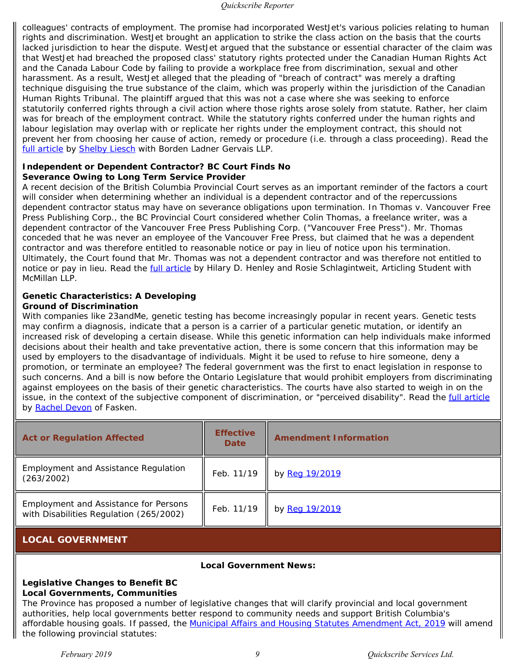colleagues' contracts of employment. The promise had incorporated WestJet's various policies relating to human rights and discrimination. WestJet brought an application to strike the class action on the basis that the courts lacked jurisdiction to hear the dispute. WestJet argued that the substance or essential character of the claim was that WestJet had breached the proposed class' statutory rights protected under the *Canadian Human Rights Act* and the *Canada Labour Code* by failing to provide a workplace free from discrimination, sexual and other harassment. As a result, WestJet alleged that the pleading of "breach of contract" was merely a drafting technique disguising the true substance of the claim, which was properly within the jurisdiction of the Canadian Human Rights Tribunal. The plaintiff argued that this was not a case where she was seeking to enforce statutorily conferred rights through a civil action where those rights arose solely from statute. Rather, her claim was for breach of the employment contract. While the statutory rights conferred under the human rights and labour legislation may overlap with or replicate her rights under the employment contract, this should not prevent her from choosing her cause of action, remedy or procedure (i.e. through a class proceeding). Read the [full article](https://blg.com/en/News-And-Publications/Publication_5576%20) by [Shelby Liesch](https://blg.com/en/Our-People/Pages/Liesch-Shelby.aspx) with Borden Ladner Gervais LLP.

# **Independent or Dependent Contractor? BC Court Finds No Severance Owing to Long Term Service Provider**

A recent decision of the British Columbia Provincial Court serves as an important reminder of the factors a court will consider when determining whether an individual is a dependent contractor and of the repercussions dependent contractor status may have on severance obligations upon termination. In *Thomas v. Vancouver Free Press Publishing Corp.*, the BC Provincial Court considered whether Colin Thomas, a freelance writer, was a dependent contractor of the Vancouver Free Press Publishing Corp. ("Vancouver Free Press"). Mr. Thomas conceded that he was never an employee of the Vancouver Free Press, but claimed that he was a dependent contractor and was therefore entitled to reasonable notice or pay in lieu of notice upon his termination. Ultimately, the Court found that Mr. Thomas was not a dependent contractor and was therefore not entitled to notice or pay in lieu. Read the *full article* by Hilary D. Henley and Rosie Schlagintweit, Articling Student with McMillan LLP.

#### **Genetic Characteristics: A Developing Ground of Discrimination**

With companies like 23andMe, genetic testing has become increasingly popular in recent years. Genetic tests may confirm a diagnosis, indicate that a person is a carrier of a particular genetic mutation, or identify an increased risk of developing a certain disease. While this genetic information can help individuals make informed decisions about their health and take preventative action, there is some concern that this information may be used by employers to the disadvantage of individuals. Might it be used to refuse to hire someone, deny a promotion, or terminate an employee? The federal government was the first to enact legislation in response to such concerns. And a bill is now before the Ontario Legislature that would prohibit employers from discriminating against employees on the basis of their genetic characteristics. The courts have also started to weigh in on the issue, in the context of the subjective component of discrimination, or "perceived disability". Read the *full article* by [Rachel Devon](https://www.fasken.com/en/rachel-devon) of Fasken.

| <b>Act or Regulation Affected</b>                                                       | <b>Effective</b><br><b>Date</b> | <b>Amendment Information</b> |
|-----------------------------------------------------------------------------------------|---------------------------------|------------------------------|
| <b>Employment and Assistance Regulation</b><br>(263/2002)                               | Feb. 11/19                      | by Reg 19/2019               |
| <b>Employment and Assistance for Persons</b><br>with Disabilities Regulation (265/2002) | Feb. 11/19                      | by Reg 19/2019               |

# <span id="page-8-0"></span>**LOCAL GOVERNMENT**

#### **Local Government News:**

#### **Legislative Changes to Benefit BC Local Governments, Communities**

The Province has proposed a number of legislative changes that will clarify provincial and local government authorities, help local governments better respond to community needs and support British Columbia's affordable housing goals. If passed, the [Municipal Affairs and Housing Statutes Amendment Act, 2019](https://www.quickscribe.bc.ca/secure/repository_redirect.php?document=8655503bb0ba344a6d671853bb69d25a&anchor=) will amend the following provincial statutes: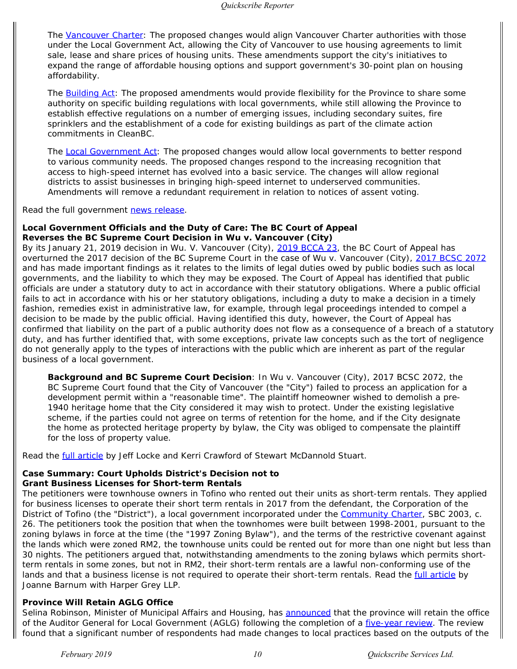The *[Vancouver Charter](https://www.quickscribe.bc.ca/secure/index.php?page=document&doc_id=1699)*: The proposed changes would align *Vancouver Charter* authorities with those under the *Local Government Act*, allowing the City of Vancouver to use housing agreements to limit sale, lease and share prices of housing units. These amendments support the city's initiatives to expand the range of affordable housing options and support government's 30-point plan on housing affordability.

The *[Building Act](https://www.quickscribe.bc.ca/secure/index.php?page=document&doc_id=4462)*: The proposed amendments would provide flexibility for the Province to share some authority on specific building regulations with local governments, while still allowing the Province to establish effective regulations on a number of emerging issues, including secondary suites, fire sprinklers and the establishment of a code for existing buildings as part of the climate action commitments in CleanBC.

The *[Local Government Act](https://www.quickscribe.bc.ca/secure/index.php?page=document&doc_id=4556)*: The proposed changes would allow local governments to better respond to various community needs. The proposed changes respond to the increasing recognition that access to high-speed internet has evolved into a basic service. The changes will allow regional districts to assist businesses in bringing high-speed internet to underserved communities. Amendments will remove a redundant requirement in relation to notices of assent voting.

Read the full government [news release](https://news.gov.bc.ca/releases/2019MAH0028-000224%20).

#### **Local Government Officials and the Duty of Care: The BC Court of Appeal Reverses the BC Supreme Court Decision in Wu v. Vancouver (City)**

By its January 21, 2019 decision in *Wu. V. Vancouver (City)*, [2019 BCCA 23](https://www.courts.gov.bc.ca/jdb-txt/ca/19/00/2019BCCA0023.htm), the BC Court of Appeal has overturned the 2017 decision of the BC Supreme Court in the case of *Wu v. Vancouver (City)*, [2017 BCSC 2072](https://www.courts.gov.bc.ca/jdb-txt/sc/17/20/2017BCSC2072.htm) and has made important findings as it relates to the limits of legal duties owed by public bodies such as local governments, and the liability to which they may be exposed. The Court of Appeal has identified that public officials are under a statutory duty to act in accordance with their statutory obligations. Where a public official fails to act in accordance with his or her statutory obligations, including a duty to make a decision in a timely fashion, remedies exist in administrative law, for example, through legal proceedings intended to compel a decision to be made by the public official. Having identified this duty, however, the Court of Appeal has confirmed that liability on the part of a public authority does not flow as a consequence of a breach of a statutory duty, and has further identified that, with some exceptions, private law concepts such as the tort of negligence do not generally apply to the types of interactions with the public which are inherent as part of the regular business of a local government.

*Background and BC Supreme Court Decision*: In *Wu v. Vancouver (City)*, 2017 BCSC 2072, the BC Supreme Court found that the City of Vancouver (the "City") failed to process an application for a development permit within a "reasonable time". The plaintiff homeowner wished to demolish a pre-1940 heritage home that the City considered it may wish to protect. Under the existing legislative scheme, if the parties could not agree on terms of retention for the home, and if the City designate the home as protected heritage property by bylaw, the City was obliged to compensate the plaintiff for the loss of property value.

Read the **full article** by Jeff Locke and Kerri Crawford of Stewart McDannold Stuart.

# **Case Summary: Court Upholds District's Decision not to**

## **Grant Business Licenses for Short-term Rentals**

The petitioners were townhouse owners in Tofino who rented out their units as short-term rentals. They applied for business licenses to operate their short term rentals in 2017 from the defendant, the Corporation of the District of Tofino (the "District"), a local government incorporated under the *[Community Charter](https://www.quickscribe.bc.ca/secure/index.php?page=document&doc_id=713)*, SBC 2003, c. 26. The petitioners took the position that when the townhomes were built between 1998-2001, pursuant to the zoning bylaws in force at the time (the "1997 Zoning Bylaw"), and the terms of the restrictive covenant against the lands which were zoned RM2, the townhouse units could be rented out for more than one night but less than 30 nights. The petitioners argued that, notwithstanding amendments to the zoning bylaws which permits shortterm rentals in some zones, but not in RM2, their short-term rentals are a lawful non-conforming use of the lands and that a business license is not required to operate their short-term rentals. Read the *full article* by Joanne Barnum with Harper Grey LLP.

## **Province Will Retain AGLG Office**

Selina Robinson, Minister of Municipal Affairs and Housing, has [announced](https://www.ubcm.ca/assets/Resolutions%7Eand%7EPolicy/Policy/Finance/244035%20Working%20Group%20Members%20Signed%20Final.pdf) that the province will retain the office of the Auditor General for Local Government (AGLG) following the completion of a *five-year review*. The review found that a significant number of respondents had made changes to local practices based on the outputs of the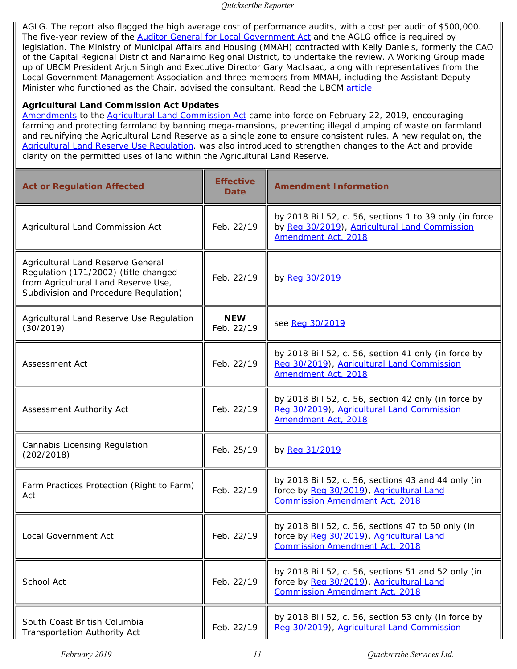AGLG. The report also flagged the high average cost of performance audits, with a cost per audit of \$500,000. The five-year review of the *[Auditor General for Local Government Act](https://www.quickscribe.bc.ca/secure/index.php?page=document&doc_id=3910)* and the AGLG office is required by legislation. The Ministry of Municipal Affairs and Housing (MMAH) contracted with Kelly Daniels, formerly the CAO of the Capital Regional District and Nanaimo Regional District, to undertake the review. A Working Group made up of UBCM President Arjun Singh and Executive Director Gary MacIsaac, along with representatives from the Local Government Management Association and three members from MMAH, including the Assistant Deputy Minister who functioned as the Chair, advised the consultant. Read the UBCM [article](https://www.ubcm.ca/EN/meta/news/news-archive/2019-archive/province-will-retain-aglg-office.html).

# *Agricultural Land Commission Act* **Updates**

[Amendments](https://www.quickscribe.bc.ca/secure/repository_redirect.php?document=fdbd84f0e84431839da2cf94b0c6c978&anchor=) to the *[Agricultural Land Commission Act](https://www.quickscribe.bc.ca/secure/index.php?page=document&doc_id=564)* came into force on February 22, 2019, encouraging farming and protecting farmland by banning mega-mansions, preventing illegal dumping of waste on farmland and reunifying the Agricultural Land Reserve as a single zone to ensure consistent rules. A new regulation, the [Agricultural Land Reserve Use Regulation,](https://www.quickscribe.bc.ca/secure/index.php?page=document&doc_id=5798) was also introduced to strengthen changes to the Act and provide clarity on the permitted uses of land within the Agricultural Land Reserve.

| <b>Act or Regulation Affected</b>                                                                                                                         | <b>Effective</b><br><b>Date</b> | <b>Amendment Information</b>                                                                                                             |
|-----------------------------------------------------------------------------------------------------------------------------------------------------------|---------------------------------|------------------------------------------------------------------------------------------------------------------------------------------|
| Agricultural Land Commission Act                                                                                                                          | Feb. 22/19                      | by 2018 Bill 52, c. 56, sections 1 to 39 only (in force<br>by Reg 30/2019), Agricultural Land Commission<br>Amendment Act, 2018          |
| Agricultural Land Reserve General<br>Regulation (171/2002) (title changed<br>from Agricultural Land Reserve Use,<br>Subdivision and Procedure Regulation) | Feb. 22/19                      | by Reg 30/2019                                                                                                                           |
| Agricultural Land Reserve Use Regulation<br>(30/2019)                                                                                                     | <b>NEW</b><br>Feb. 22/19        | see Reg 30/2019                                                                                                                          |
| Assessment Act                                                                                                                                            | Feb. 22/19                      | by 2018 Bill 52, c. 56, section 41 only (in force by<br>Reg 30/2019), Agricultural Land Commission<br>Amendment Act, 2018                |
| Assessment Authority Act                                                                                                                                  | Feb. 22/19                      | by 2018 Bill 52, c. 56, section 42 only (in force by<br>Reg 30/2019), Agricultural Land Commission<br>Amendment Act, 2018                |
| Cannabis Licensing Regulation<br>(202/2018)                                                                                                               | Feb. 25/19                      | by Reg 31/2019                                                                                                                           |
| Farm Practices Protection (Right to Farm)<br>Act                                                                                                          | Feb. 22/19                      | by 2018 Bill 52, c. 56, sections 43 and 44 only (in<br>force by Reg 30/2019), Agricultural Land<br><b>Commission Amendment Act, 2018</b> |
| <b>Local Government Act</b>                                                                                                                               | Feb. 22/19                      | by 2018 Bill 52, c. 56, sections 47 to 50 only (in<br>force by Reg 30/2019), Agricultural Land<br><b>Commission Amendment Act, 2018</b>  |
| School Act                                                                                                                                                | Feb. 22/19                      | by 2018 Bill 52, c. 56, sections 51 and 52 only (in<br>force by Reg 30/2019), Agricultural Land<br><b>Commission Amendment Act, 2018</b> |
| South Coast British Columbia<br>Transportation Authority Act                                                                                              | Feb. 22/19                      | by 2018 Bill 52, c. 56, section 53 only (in force by<br>Reg 30/2019), Agricultural Land Commission                                       |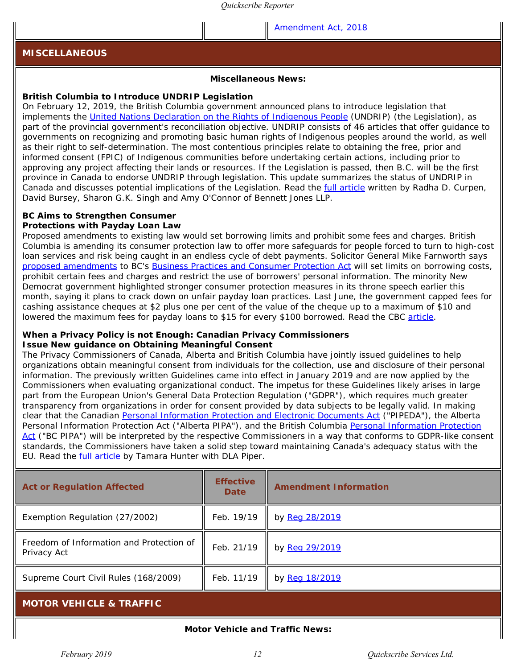[Amendment Act, 2018](https://www.quickscribe.bc.ca/secure/repository_redirect.php?document=fdbd84f0e84431839da2cf94b0c6c978&anchor=s53)

#### <span id="page-11-0"></span>**MISCELLANEOUS**

#### **Miscellaneous News:**

#### **British Columbia to Introduce UNDRIP Legislation**

On February 12, 2019, the British Columbia government announced plans to introduce legislation that implements the [United Nations Declaration on the Rights of Indigenous People](https://www.quickscribe.bc.ca/secure/index.php?page=document&doc_id=5796) (UNDRIP) (the Legislation), as part of the provincial government's reconciliation objective. UNDRIP consists of 46 articles that offer guidance to governments on recognizing and promoting basic human rights of Indigenous peoples around the world, as well as their right to self-determination. The most contentious principles relate to obtaining the free, prior and informed consent (FPIC) of Indigenous communities before undertaking certain actions, including prior to approving any project affecting their lands or resources. If the Legislation is passed, then B.C. will be the first province in Canada to endorse UNDRIP through legislation. This update summarizes the status of UNDRIP in Canada and discusses potential implications of the Legislation. Read the [full article](https://www.bennettjones.com/en/Blogs-Section/British-Columbia-to-Introduce-UNDRIP-Legislation%20) written by Radha D. Curpen, David Bursey, Sharon G.K. Singh and Amy O'Connor of Bennett Jones LLP.

#### **BC Aims to Strengthen Consumer Protections with Payday Loan Law**

Proposed amendments to existing law would set borrowing limits and prohibit some fees and charges. British Columbia is amending its consumer protection law to offer more safeguards for people forced to turn to high-cost loan services and risk being caught in an endless cycle of debt payments. Solicitor General Mike Farnworth says [proposed amendments](https://www.quickscribe.bc.ca/secure/repository_redirect.php?document=47ee98b78679047b27c28738f03a4ff9&anchor=) to BC's *[Business Practices and Consumer Protection Act](https://www.quickscribe.bc.ca/secure/index.php?page=document&doc_id=794)* will set limits on borrowing costs, prohibit certain fees and charges and restrict the use of borrowers' personal information. The minority New Democrat government highlighted stronger consumer protection measures in its throne speech earlier this month, saying it plans to crack down on unfair payday loan practices. Last June, the government capped fees for cashing assistance cheques at \$2 plus one per cent of the value of the cheque up to a maximum of \$10 and lowered the maximum fees for payday loans to \$15 for every \$100 borrowed. Read the CBC [article](https://www.cbc.ca/news/canada/british-columbia/b-c-strengthen-consumer-protections-payday-loan-law-1.5034638).

#### **When a Privacy Policy is not Enough: Canadian Privacy Commissioners Issue New guidance on Obtaining Meaningful Consent**

The Privacy Commissioners of Canada, Alberta and British Columbia have jointly issued guidelines to help organizations obtain meaningful consent from individuals for the collection, use and disclosure of their personal information. The previously written Guidelines came into effect in January 2019 and are now applied by the Commissioners when evaluating organizational conduct. The impetus for these Guidelines likely arises in large part from the European Union's General Data Protection Regulation ("GDPR"), which requires much greater transparency from organizations in order for consent provided by data subjects to be legally valid. In making clear that the Canadian *[Personal Information Protection and Electronic Documents Act](https://laws.justice.gc.ca/eng/acts/P-8.6/)* ("PIPEDA"), the Alberta *Personal Information Protection Act* ("Alberta PIPA"), and the British Columbia *[Personal Information Protection](https://www.quickscribe.bc.ca/secure/index.php?page=document&doc_id=709) [Act](https://www.quickscribe.bc.ca/secure/index.php?page=document&doc_id=709)* ("BC PIPA") will be interpreted by the respective Commissioners in a way that conforms to GDPR-like consent standards, the Commissioners have taken a solid step toward maintaining Canada's adequacy status with the EU. Read the **full article** by Tamara Hunter with DLA Piper.

| <b>Act or Regulation Affected</b>                       | <b>Effective</b><br><b>Date</b> | <b>Amendment Information</b> |
|---------------------------------------------------------|---------------------------------|------------------------------|
| Exemption Regulation (27/2002)                          | Feb. 19/19                      | by Reg 28/2019               |
| Freedom of Information and Protection of<br>Privacy Act | Feb. 21/19                      | by Reg 29/2019               |
| Supreme Court Civil Rules (168/2009)                    | Feb. 11/19                      | by Reg 18/2019               |

## <span id="page-11-1"></span>**MOTOR VEHICLE & TRAFFIC**

**Motor Vehicle and Traffic News:**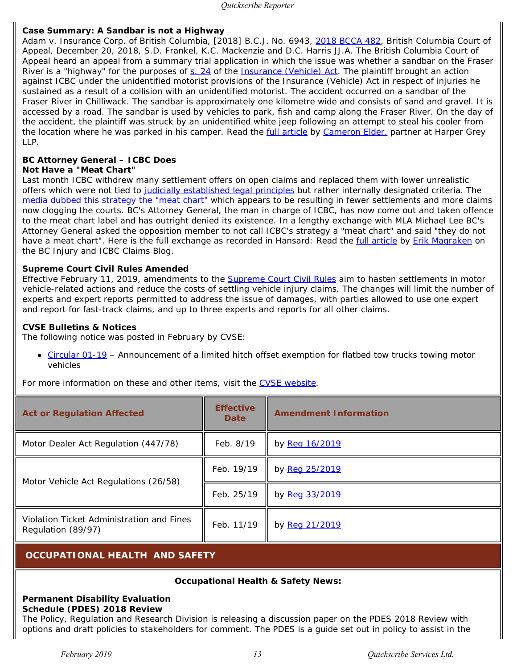## **Case Summary: A Sandbar is not a Highway**

*Adam v. Insurance Corp. of British Columbia*, [2018] B.C.J. No. 6943, [2018 BCCA 482](https://www.courts.gov.bc.ca/jdb-txt/ca/18/04/2018BCCA0482.htm), British Columbia Court of Appeal, December 20, 2018, S.D. Frankel, K.C. Mackenzie and D.C. Harris JJ.A. The British Columbia Court of Appeal heard an appeal from a summary trial application in which the issue was whether a sandbar on the Fraser River is a "highway" for the purposes of [s. 24](https://www.quickscribe.bc.ca/secure/document_content.php?doc_id=186&toc_id=1395#186-31492) of the *[Insurance \(Vehicle\) Act](https://www.quickscribe.bc.ca/secure/index.php?page=document&doc_id=186)*. The plaintiff brought an action against ICBC under the unidentified motorist provisions of the *Insurance (Vehicle) Act* in respect of injuries he sustained as a result of a collision with an unidentified motorist. The accident occurred on a sandbar of the Fraser River in Chilliwack. The sandbar is approximately one kilometre wide and consists of sand and gravel. It is accessed by a road. The sandbar is used by vehicles to park, fish and camp along the Fraser River. On the day of the accident, the plaintiff was struck by an unidentified white jeep following an attempt to steal his cooler from the location where he was parked in his camper. Read the [full article](https://www.harpergrey.com/knowledge/case-summary-a-sandbar-is-not-a-highway/) by [Cameron Elder,](https://www.harpergrey.com/lawyer/cameron-elder/) partner at Harper Grey LLP.

# **BC Attorney General – ICBC Does**

## **Not Have a "Meat Chart"**

Last month ICBC withdrew many settlement offers on open claims and replaced them with lower unrealistic offers which were not tied to [judicially established legal principles](http://bc-injury-law.com/blog/icbcs-secret-meat-chart-pain-suffering-actual-law) but rather internally designated criteria. The [media dubbed this strategy the "meat chart"](https://vancouversun.com/opinion/columnists/ian-mulgrew-now-a-meat-chart-icbc-trying-to-shortchange-the-injured-lawyers-claim) which appears to be resulting in fewer settlements and more claims now clogging the courts. BC's Attorney General, the man in charge of ICBC, has now come out and taken offence to the meat chart label and has outright denied its existence. In a lengthy exchange with MLA Michael Lee BC's Attorney General asked the opposition member to not call ICBC's strategy a "meat chart" and said "they do not have a meat chart". Here is the full exchange as recorded in Hansard: Read the *full article* by *Erik Magraken* on the *BC Injury and ICBC Claims Blog*.

## **Supreme Court Civil Rules Amended**

Effective February 11, 2019, amendments to the **[Supreme Court Civil Rules](https://www.quickscribe.bc.ca/secure/index.php?page=document&doc_id=3653)** aim to hasten settlements in motor vehicle-related actions and reduce the costs of settling vehicle injury claims. The changes will limit the number of experts and expert reports permitted to address the issue of damages, with parties allowed to use one expert and report for fast-track claims, and up to three experts and reports for all other claims.

## **CVSE Bulletins & Notices**

The following notice was posted in February by CVSE:

• [Circular 01-19](http://www.th.gov.bc.ca/CVSE/CTPM/Com_circulars/2019/20190228_Circular-01-19-Hitch-offset-exemption-for-flatbed-tow-trucks.pdf) – Announcement of a limited hitch offset exemption for flatbed tow trucks towing motor vehicles

For more information on these and other items, visit the [CVSE website](http://www.th.gov.bc.ca/CVSE/whatsnew.html).

| <b>Act or Regulation Affected</b>                               | <b>Effective</b><br><b>Date</b> | <b>Amendment Information</b> |
|-----------------------------------------------------------------|---------------------------------|------------------------------|
| Motor Dealer Act Regulation (447/78)                            | Feb. 8/19                       | by Reg 16/2019               |
|                                                                 | Feb. 19/19                      | by Reg 25/2019               |
| Motor Vehicle Act Regulations (26/58)                           | Feb. 25/19                      | by Reg 33/2019               |
| Violation Ticket Administration and Fines<br>Regulation (89/97) | Feb. 11/19                      | by Reg 21/2019               |

# <span id="page-12-0"></span>**OCCUPATIONAL HEALTH AND SAFETY**

## **Occupational Health & Safety News:**

#### **Permanent Disability Evaluation Schedule (PDES) 2018 Review**

The Policy, Regulation and Research Division is releasing a discussion paper on the PDES 2018 Review with options and draft policies to stakeholders for comment. The PDES is a guide set out in policy to assist in the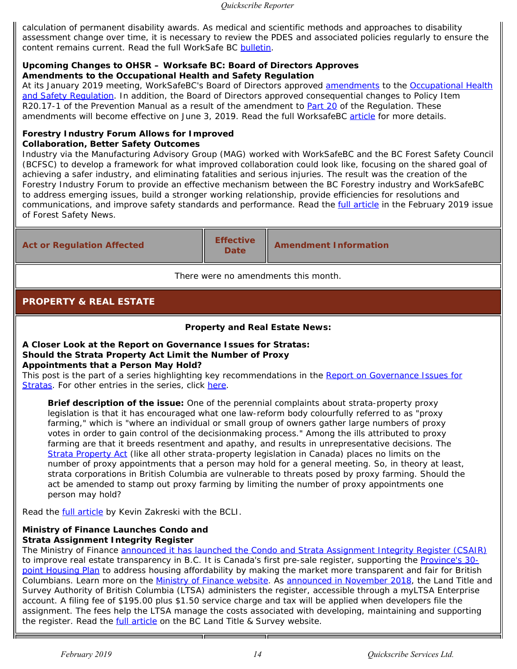calculation of permanent disability awards. As medical and scientific methods and approaches to disability assessment change over time, it is necessary to review the PDES and associated policies regularly to ensure the content remains current. Read the full WorkSafe BC [bulletin](http://www.worksafebcmedia.com/enews/prrd/190226-pdes/190226.html).

# **Upcoming Changes to OHSR – Worksafe BC: Board of Directors Approves Amendments to the Occupational Health and Safety Regulation**

At its January 2019 meeting, WorkSafeBC's Board of Directors approved [amendments](https://www.quickscribe.bc.ca/secure/index.php?page=document&doc_id=5795) to the [Occupational Health](https://www.quickscribe.bc.ca/secure/index.php?page=document&doc_id=2464) [and Safety Regulation.](https://www.quickscribe.bc.ca/secure/index.php?page=document&doc_id=2464) In addition, the Board of Directors approved consequential changes to Policy Item R20.17-1 of the *Prevention Manual* as a result of the amendment to [Part 20](https://www.quickscribe.bc.ca/secure/document_content.php?doc_id=5795&toc_id=69908#5795-2545216) of the Regulation. These amendments will become effective on June 3, 2019. Read the full WorksafeBC [article](http://www.worksafebcmedia.com/enews/prrd/190206-ohsr/190206-ohsr.html) for more details.

# **Forestry Industry Forum Allows for Improved Collaboration, Better Safety Outcomes**

Industry via the Manufacturing Advisory Group (MAG) worked with WorkSafeBC and the BC Forest Safety Council (BCFSC) to develop a framework for what improved collaboration could look like, focusing on the shared goal of achieving a safer industry, and eliminating fatalities and serious injuries. The result was the creation of the Forestry Industry Forum to provide an effective mechanism between the BC Forestry industry and WorkSafeBC to address emerging issues, build a stronger working relationship, provide efficiencies for resolutions and communications, and improve safety standards and performance. Read the **full article** in the February 2019 issue of *Forest Safety News*.

| <b>Act or Regulation Affected</b> | <b>Effective</b><br><b>Date</b> | <b>Amendment Information</b> |
|-----------------------------------|---------------------------------|------------------------------|
|                                   |                                 |                              |

*There were no amendments this month.*

# <span id="page-13-0"></span>**PROPERTY & REAL ESTATE**

# **Property and Real Estate News:**

#### **A Closer Look at the Report on Governance Issues for Stratas: Should the** *Strata Property Act* **Limit the Number of Proxy Appointments that a Person May Hold?**

This post is the part of a series highlighting key recommendations in the *[Report on Governance Issues for](https://www.bcli.org/publication/report-on-governance-issues-for-stratas)* **[Stratas](https://www.bcli.org/publication/report-on-governance-issues-for-stratas)**. For other entries in the series, click [here.](https://www.bcli.org/a-closer-look-at-the-report-on-governance-issues-for-stratas)

*Brief description of the issue:* One of the perennial complaints about strata-property proxy legislation is that it has encouraged what one law-reform body colourfully referred to as "proxy farming," which is "where an individual or small group of owners gather large numbers of proxy votes in order to gain control of the decisionmaking process." Among the ills attributed to proxy farming are that it breeds resentment and apathy, and results in unrepresentative decisions. The *[Strata Property Act](https://www.quickscribe.bc.ca/secure/index.php?page=document&doc_id=255)* (like all other strata-property legislation in Canada) places no limits on the number of proxy appointments that a person may hold for a general meeting. So, in theory at least, strata corporations in British Columbia are vulnerable to threats posed by proxy farming. Should the act be amended to stamp out proxy farming by limiting the number of proxy appointments one person may hold?

Read the **full article** by Kevin Zakreski with the BCLI.

# **Ministry of Finance Launches Condo and Strata Assignment Integrity Register**

The Ministry of Finance [announced it has launched the Condo and Strata Assignment Integrity Register \(CSAIR\)](https://news.gov.bc.ca/19035) to improve real estate transparency in B.C. It is Canada's first pre-sale register, supporting the [Province's 30](https://www.bcbudget.gov.bc.ca/2018/homesbc/2018_homes_for_bc.pdf) [point Housing Plan](https://www.bcbudget.gov.bc.ca/2018/homesbc/2018_homes_for_bc.pdf) to address housing affordability by making the market more transparent and fair for British Columbians. Learn more on the [Ministry of Finance website.](https://www2.gov.bc.ca/gov/content/housing-tenancy/real-estate-bc/condo-strata-assignment-integrity-register) As [announced in November 2018](https://ltsa.ca/news/ministry-finance-announces-creation-condo-and-strata-assignment-register), the Land Title and Survey Authority of British Columbia (LTSA) administers the register, accessible through a myLTSA Enterprise account. A filing fee of \$195.00 plus \$1.50 service charge and tax will be applied when developers file the assignment. The fees help the LTSA manage the costs associated with developing, maintaining and supporting the register. Read the **full article** on the BC Land Title & Survey website.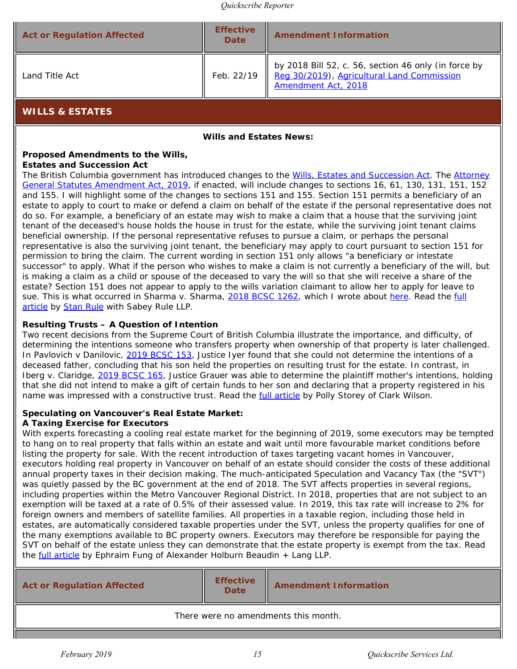| Reg 30/2019), Agricultural Land Commission<br>Feb. 22/19<br>Land Title Act<br>Amendment Act, 2018 | <b>Act or Regulation Affected</b> | <b>Effective</b><br><b>Date</b> | <b>Amendment Information</b>                         |
|---------------------------------------------------------------------------------------------------|-----------------------------------|---------------------------------|------------------------------------------------------|
|                                                                                                   |                                   |                                 | by 2018 Bill 52, c. 56, section 46 only (in force by |

<span id="page-14-0"></span>**WILLS & ESTATES**

**Wills and Estates News:**

# **Proposed Amendments to the** *Wills,*

## *Estates and Succession Act*

The British Columbia government has introduced changes to the *[Wills, Estates and Succession Act](https://www.quickscribe.bc.ca/secure/index.php?page=document&doc_id=4073)*. The *[Attorney](https://www.quickscribe.bc.ca/secure/repository_redirect.php?document=58e9631634cb43f3e954ddaeaedb1dec&anchor=) [General Statutes Amendment Act, 2019](https://www.quickscribe.bc.ca/secure/repository_redirect.php?document=58e9631634cb43f3e954ddaeaedb1dec&anchor=)*, if enacted, will include changes to sections 16, 61, 130, 131, 151, 152 and 155. I will highlight some of the changes to sections 151 and 155. Section 151 permits a beneficiary of an estate to apply to court to make or defend a claim on behalf of the estate if the personal representative does not do so. For example, a beneficiary of an estate may wish to make a claim that a house that the surviving joint tenant of the deceased's house holds the house in trust for the estate, while the surviving joint tenant claims beneficial ownership. If the personal representative refuses to pursue a claim, or perhaps the personal representative is also the surviving joint tenant, the beneficiary may apply to court pursuant to section 151 for permission to bring the claim. The current wording in section 151 only allows "a beneficiary or intestate successor" to apply. What if the person who wishes to make a claim is not currently a beneficiary of the will, but is making a claim as a child or spouse of the deceased to vary the will so that she will receive a share of the estate? Section 151 does not appear to apply to the wills variation claimant to allow her to apply for leave to sue. This is what occurred in *Sharma v. Sharma*, [2018 BCSC 1262](https://www.courts.gov.bc.ca/jdb-txt/sc/18/12/2018BCSC1262cor1.htm), which I wrote about [here.](https://rulelaw.blogspot.com/2018/08/sharma-v-sharma.html) Read the [full](http://rulelaw.blogspot.com/2019/03/proposed-amendments-to-wills-estates.html%20) [article](http://rulelaw.blogspot.com/2019/03/proposed-amendments-to-wills-estates.html%20) by [Stan Rule](https://www.quickscribe.bc.ca/secure/MeetTheExperts.php?action=MeetAnExpert&expert=stan-rule) with Sabey Rule LLP.

# **Resulting Trusts – A Question of Intention**

Two recent decisions from the Supreme Court of British Columbia illustrate the importance, and difficulty, of determining the intentions someone who transfers property when ownership of that property is later challenged. In *Pavlovich v Danilovic*, [2019 BCSC 153](https://www.courts.gov.bc.ca/jdb-txt/sc/19/01/2019BCSC0153.htm), Justice Iyer found that she could not determine the intentions of a deceased father, concluding that his son held the properties on resulting trust for the estate. In contrast, in *Iberg v. Claridge*, [2019 BCSC 165](https://www.courts.gov.bc.ca/jdb-txt/sc/19/01/2019BCSC0165.htm), Justice Grauer was able to determine the plaintiff mother's intentions, holding that she did not intend to make a gift of certain funds to her son and declaring that a property registered in his name was impressed with a constructive trust. Read the [full article](https://www.cwilson.com/resulting-trusts-a-question-of-intention/) by Polly Storey of Clark Wilson.

# **Speculating on Vancouver's Real Estate Market:**

# **A Taxing Exercise for Executors**

With experts forecasting a cooling real estate market for the beginning of 2019, some executors may be tempted to hang on to real property that falls within an estate and wait until more favourable market conditions before listing the property for sale. With the recent introduction of taxes targeting vacant homes in Vancouver, executors holding real property in Vancouver on behalf of an estate should consider the costs of these additional annual property taxes in their decision making. The much-anticipated Speculation and Vacancy Tax (the "SVT") was quietly passed by the BC government at the end of 2018. The SVT affects properties in several regions, including properties within the Metro Vancouver Regional District. In 2018, properties that are not subject to an exemption will be taxed at a rate of 0.5% of their assessed value. In 2019, this tax rate will increase to 2% for foreign owners and members of satellite families. All properties in a taxable region, including those held in estates, are automatically considered taxable properties under the SVT, unless the property qualifies for one of the many exemptions available to BC property owners. Executors may therefore be responsible for paying the SVT on behalf of the estate unless they can demonstrate that the estate property is exempt from the tax. Read the [full article](https://willsandestateslawyersblog.ahbl.ca/2019/02/04/speculating-on-vancouvers-real-estate-market-a-taxing-exercise-for-executors/) by Ephraim Fung of Alexander Holburn Beaudin + Lang LLP.

| <b>Act or Regulation Affected</b>    | <b>Effective</b><br><b>Date</b> | <b>Amendment Information</b> |
|--------------------------------------|---------------------------------|------------------------------|
| There were no amendments this month. |                                 |                              |